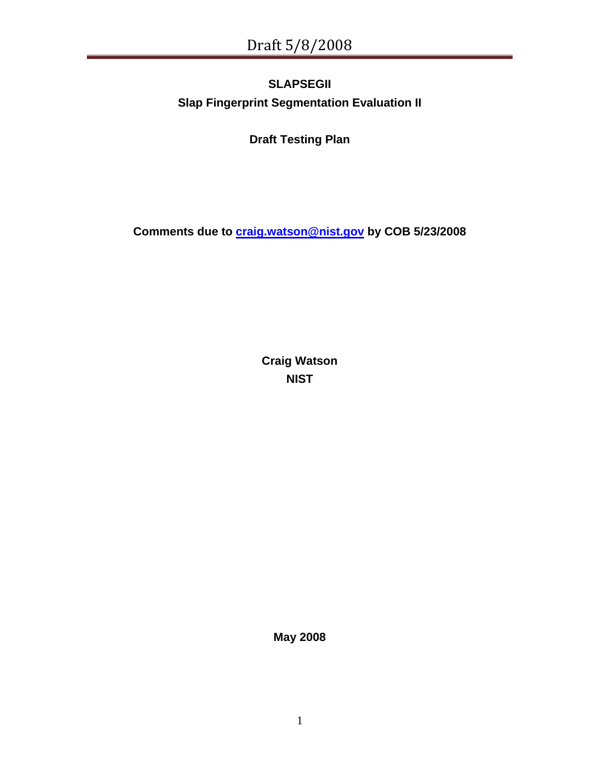# **SLAPSEGII Slap Fingerprint Segmentation Evaluation II**

**Draft Testing Plan** 

**Comments due to [craig.watson@nist.gov](mailto:craig.watson@nist.gov) by COB 5/23/2008** 

**Craig Watson NIST** 

**May 2008**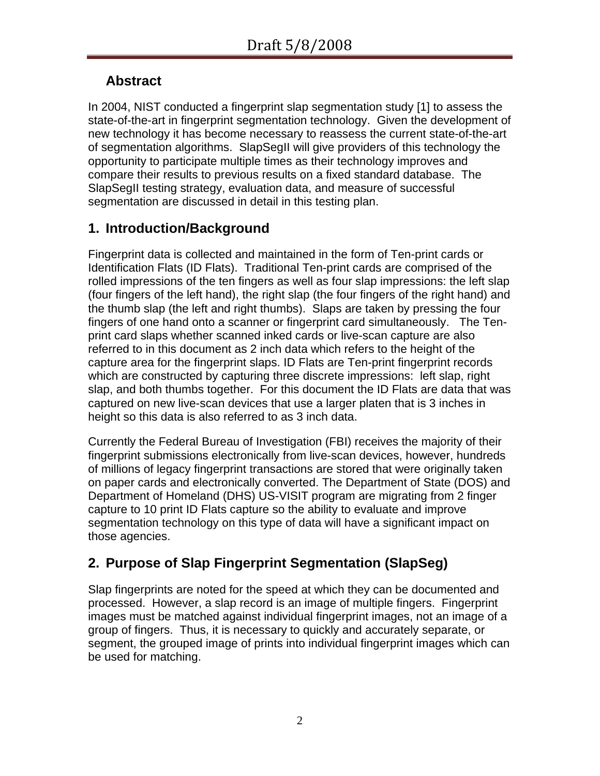# **Abstract**

In 2004, NIST conducted a fingerprint slap segmentation study [[1\]](#page-22-0) to assess the state-of-the-art in fingerprint segmentation technology. Given the development of new technology it has become necessary to reassess the current state-of-the-art of segmentation algorithms. SlapSegII will give providers of this technology the opportunity to participate multiple times as their technology improves and compare their results to previous results on a fixed standard database. The SlapSegII testing strategy, evaluation data, and measure of successful segmentation are discussed in detail in this testing plan.

# **1. Introduction/Background**

Fingerprint data is collected and maintained in the form of Ten-print cards or Identification Flats (ID Flats). Traditional Ten-print cards are comprised of the rolled impressions of the ten fingers as well as four slap impressions: the left slap (four fingers of the left hand), the right slap (the four fingers of the right hand) and the thumb slap (the left and right thumbs). Slaps are taken by pressing the four fingers of one hand onto a scanner or fingerprint card simultaneously. The Tenprint card slaps whether scanned inked cards or live-scan capture are also referred to in this document as 2 inch data which refers to the height of the capture area for the fingerprint slaps. ID Flats are Ten-print fingerprint records which are constructed by capturing three discrete impressions: left slap, right slap, and both thumbs together. For this document the ID Flats are data that was captured on new live-scan devices that use a larger platen that is 3 inches in height so this data is also referred to as 3 inch data.

Currently the Federal Bureau of Investigation (FBI) receives the majority of their fingerprint submissions electronically from live-scan devices, however, hundreds of millions of legacy fingerprint transactions are stored that were originally taken on paper cards and electronically converted. The Department of State (DOS) and Department of Homeland (DHS) US-VISIT program are migrating from 2 finger capture to 10 print ID Flats capture so the ability to evaluate and improve segmentation technology on this type of data will have a significant impact on those agencies.

# **2. Purpose of Slap Fingerprint Segmentation (SlapSeg)**

Slap fingerprints are noted for the speed at which they can be documented and processed. However, a slap record is an image of multiple fingers. Fingerprint images must be matched against individual fingerprint images, not an image of a group of fingers. Thus, it is necessary to quickly and accurately separate, or segment, the grouped image of prints into individual fingerprint images which can be used for matching.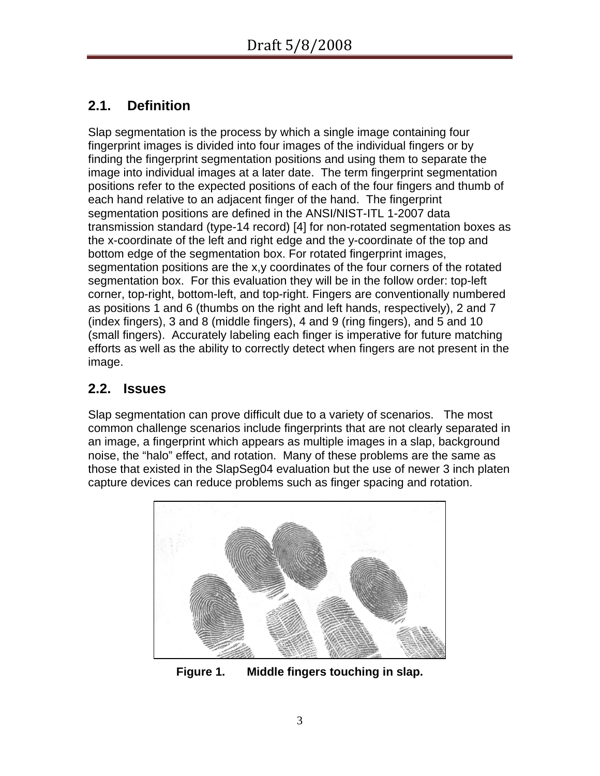# **2.1. Definition**

Slap segmentation is the process by which a single image containing four fingerprint images is divided into four images of the individual fingers or by finding the fingerprint segmentation positions and using them to separate the image into individual images at a later date. The term fingerprint segmentation positions refer to the expected positions of each of the four fingers and thumb of each hand relative to an adjacent finger of the hand. The fingerprint segmentation positions are defined in the ANSI/NIST-ITL 1-2007 data transmission standard (type-14 record) [[4](#page-22-1)] for non-rotated segmentation boxes as the x-coordinate of the left and right edge and the y-coordinate of the top and bottom edge of the segmentation box. For rotated fingerprint images, segmentation positions are the x,y coordinates of the four corners of the rotated segmentation box. For this evaluation they will be in the follow order: top-left corner, top-right, bottom-left, and top-right. Fingers are conventionally numbered as positions 1 and 6 (thumbs on the right and left hands, respectively), 2 and 7 (index fingers), 3 and 8 (middle fingers), 4 and 9 (ring fingers), and 5 and 10 (small fingers). Accurately labeling each finger is imperative for future matching efforts as well as the ability to correctly detect when fingers are not present in the image.

# **2.2. Issues**

Slap segmentation can prove difficult due to a variety of scenarios. The most common challenge scenarios include fingerprints that are not clearly separated in an image, a fingerprint which appears as multiple images in a slap, background noise, the "halo" effect, and rotation. Many of these problems are the same as those that existed in the SlapSeg04 evaluation but the use of newer 3 inch platen capture devices can reduce problems such as finger spacing and rotation.

<span id="page-2-0"></span>

**Figure 1. Middle fingers touching in slap.**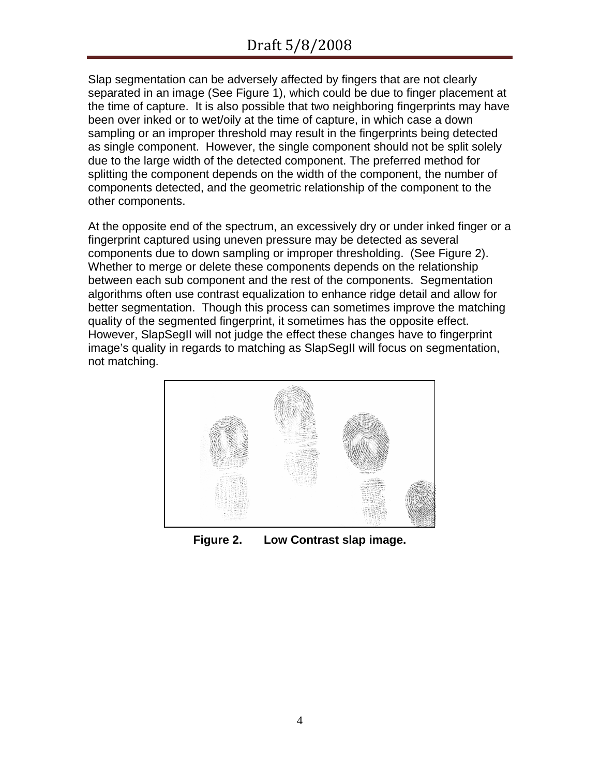Slap segmentation can be adversely affected by fingers that are not clearly separated in an image (See [Figure 1\)](#page-2-0), which could be due to finger placement at the time of capture. It is also possible that two neighboring fingerprints may have been over inked or to wet/oily at the time of capture, in which case a down sampling or an improper threshold may result in the fingerprints being detected as single component. However, the single component should not be split solely due to the large width of the detected component. The preferred method for splitting the component depends on the width of the component, the number of components detected, and the geometric relationship of the component to the other components.

At the opposite end of the spectrum, an excessively dry or under inked finger or a fingerprint captured using uneven pressure may be detected as several components due to down sampling or improper thresholding. (See [Figure 2\)](#page-3-0). Whether to merge or delete these components depends on the relationship between each sub component and the rest of the components. Segmentation algorithms often use contrast equalization to enhance ridge detail and allow for better segmentation. Though this process can sometimes improve the matching quality of the segmented fingerprint, it sometimes has the opposite effect. However, SlapSegII will not judge the effect these changes have to fingerprint image's quality in regards to matching as SlapSegII will focus on segmentation, not matching.

<span id="page-3-0"></span>

**Figure 2. Low Contrast slap image.**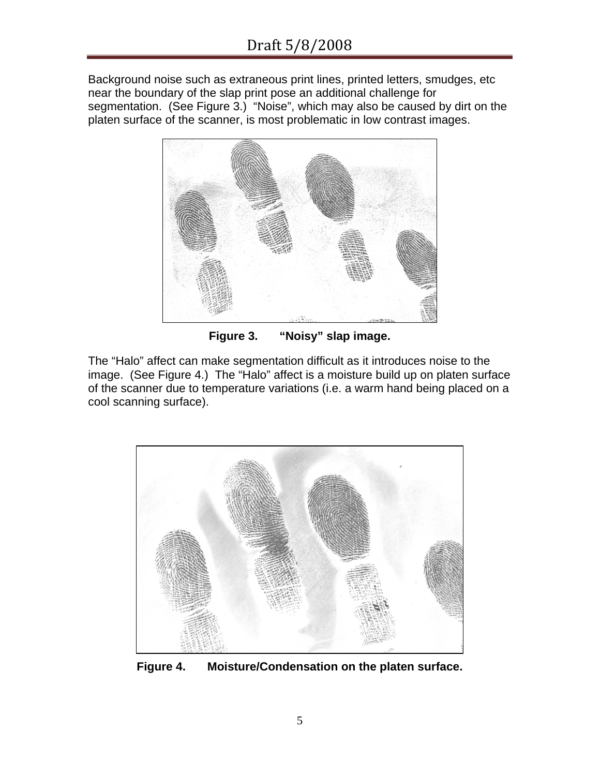Background noise such as extraneous print lines, printed letters, smudges, etc near the boundary of the slap print pose an additional challenge for segmentation. (See [Figure 3.](#page-4-0)) "Noise", which may also be caused by dirt on the platen surface of the scanner, is most problematic in low contrast images.



**Figure 3. "Noisy" slap image.** 

<span id="page-4-0"></span>The "Halo" affect can make segmentation difficult as it introduces noise to the image. (See [Figure 4](#page-4-1).) The "Halo" affect is a moisture build up on platen surface of the scanner due to temperature variations (i.e. a warm hand being placed on a cool scanning surface).

<span id="page-4-1"></span>

**Figure 4. Moisture/Condensation on the platen surface.**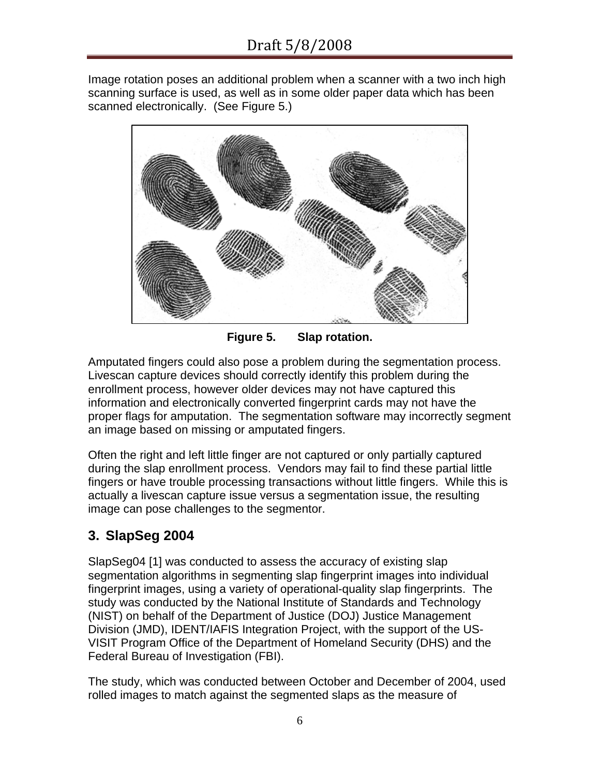Image rotation poses an additional problem when a scanner with a two inch high scanning surface is used, as well as in some older paper data which has been scanned electronically. (See [Figure 5.](#page-5-0))



**Figure 5. Slap rotation.** 

<span id="page-5-0"></span>Amputated fingers could also pose a problem during the segmentation process. Livescan capture devices should correctly identify this problem during the enrollment process, however older devices may not have captured this information and electronically converted fingerprint cards may not have the proper flags for amputation. The segmentation software may incorrectly segment an image based on missing or amputated fingers.

Often the right and left little finger are not captured or only partially captured during the slap enrollment process. Vendors may fail to find these partial little fingers or have trouble processing transactions without little fingers. While this is actually a livescan capture issue versus a segmentation issue, the resulting image can pose challenges to the segmentor.

# **3. SlapSeg 2004**

SlapSeg04 [\[1](#page-22-0)] was conducted to assess the accuracy of existing slap segmentation algorithms in segmenting slap fingerprint images into individual fingerprint images, using a variety of operational-quality slap fingerprints. The study was conducted by the National Institute of Standards and Technology (NIST) on behalf of the Department of Justice (DOJ) Justice Management Division (JMD), IDENT/IAFIS Integration Project, with the support of the US-VISIT Program Office of the Department of Homeland Security (DHS) and the Federal Bureau of Investigation (FBI).

The study, which was conducted between October and December of 2004, used rolled images to match against the segmented slaps as the measure of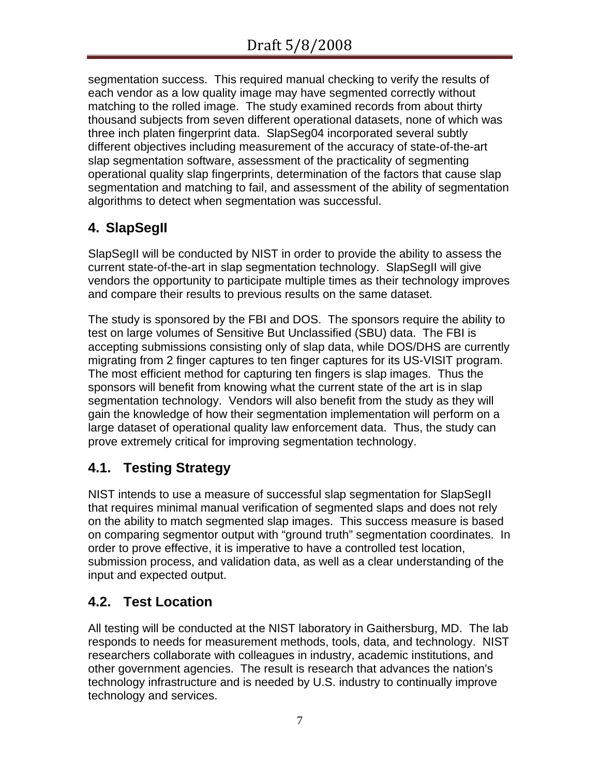segmentation success. This required manual checking to verify the results of each vendor as a low quality image may have segmented correctly without matching to the rolled image. The study examined records from about thirty thousand subjects from seven different operational datasets, none of which was three inch platen fingerprint data. SlapSeg04 incorporated several subtly different objectives including measurement of the accuracy of state-of-the-art slap segmentation software, assessment of the practicality of segmenting operational quality slap fingerprints, determination of the factors that cause slap segmentation and matching to fail, and assessment of the ability of segmentation algorithms to detect when segmentation was successful.

# <span id="page-6-0"></span>**4. SlapSegII**

SlapSegII will be conducted by NIST in order to provide the ability to assess the current state-of-the-art in slap segmentation technology. SlapSegII will give vendors the opportunity to participate multiple times as their technology improves and compare their results to previous results on the same dataset.

The study is sponsored by the FBI and DOS. The sponsors require the ability to test on large volumes of Sensitive But Unclassified (SBU) data. The FBI is accepting submissions consisting only of slap data, while DOS/DHS are currently migrating from 2 finger captures to ten finger captures for its US-VISIT program. The most efficient method for capturing ten fingers is slap images. Thus the sponsors will benefit from knowing what the current state of the art is in slap segmentation technology. Vendors will also benefit from the study as they will gain the knowledge of how their segmentation implementation will perform on a large dataset of operational quality law enforcement data. Thus, the study can prove extremely critical for improving segmentation technology.

# **4.1. Testing Strategy**

NIST intends to use a measure of successful slap segmentation for SlapSegII that requires minimal manual verification of segmented slaps and does not rely on the ability to match segmented slap images. This success measure is based on comparing segmentor output with "ground truth" segmentation coordinates. In order to prove effective, it is imperative to have a controlled test location, submission process, and validation data, as well as a clear understanding of the input and expected output.

# **4.2. Test Location**

All testing will be conducted at the NIST laboratory in Gaithersburg, MD. The lab responds to needs for measurement methods, tools, data, and technology. NIST researchers collaborate with colleagues in industry, academic institutions, and other government agencies. The result is research that advances the nation's technology infrastructure and is needed by U.S. industry to continually improve technology and services.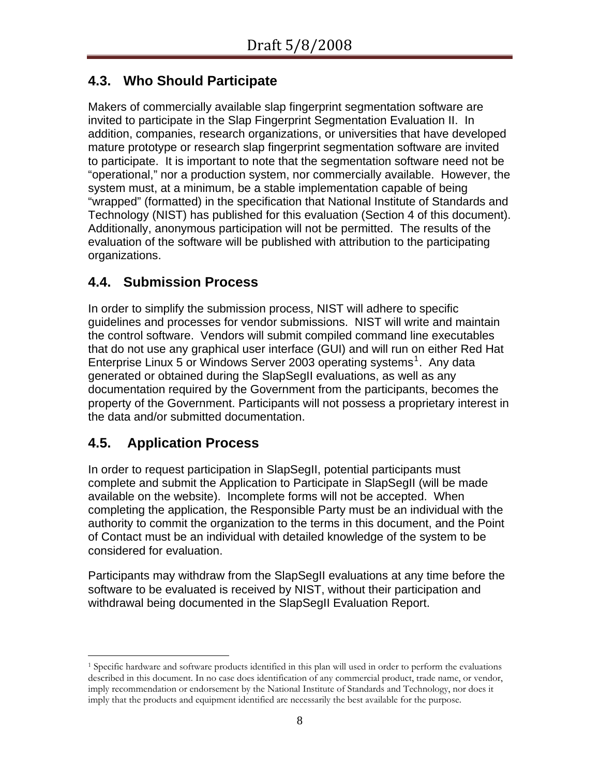# **4.3. Who Should Participate**

Makers of commercially available slap fingerprint segmentation software are invited to participate in the Slap Fingerprint Segmentation Evaluation II. In addition, companies, research organizations, or universities that have developed mature prototype or research slap fingerprint segmentation software are invited to participate. It is important to note that the segmentation software need not be "operational," nor a production system, nor commercially available. However, the system must, at a minimum, be a stable implementation capable of being "wrapped" (formatted) in the specification that National Institute of Standards and Technology (NIST) has published for this evaluation (Section [4](#page-6-0) of this document). Additionally, anonymous participation will not be permitted. The results of the evaluation of the software will be published with attribution to the participating organizations.

# **4.4. Submission Process**

In order to simplify the submission process, NIST will adhere to specific guidelines and processes for vendor submissions. NIST will write and maintain the control software. Vendors will submit compiled command line executables that do not use any graphical user interface (GUI) and will run on either Red Hat Enterprise Linux 5 or Windows Server 2003 operating systems<sup>[1](#page-7-0)</sup>. Any data generated or obtained during the SlapSegII evaluations, as well as any documentation required by the Government from the participants, becomes the property of the Government. Participants will not possess a proprietary interest in the data and/or submitted documentation.

# **4.5. Application Process**

In order to request participation in SlapSegII, potential participants must complete and submit the Application to Participate in SlapSegII (will be made available on the website). Incomplete forms will not be accepted. When completing the application, the Responsible Party must be an individual with the authority to commit the organization to the terms in this document, and the Point of Contact must be an individual with detailed knowledge of the system to be considered for evaluation.

Participants may withdraw from the SlapSegII evaluations at any time before the software to be evaluated is received by NIST, without their participation and withdrawal being documented in the SlapSegII Evaluation Report.

<span id="page-7-0"></span> $\overline{a}$ 1 Specific hardware and software products identified in this plan will used in order to perform the evaluations described in this document. In no case does identification of any commercial product, trade name, or vendor, imply recommendation or endorsement by the National Institute of Standards and Technology, nor does it imply that the products and equipment identified are necessarily the best available for the purpose.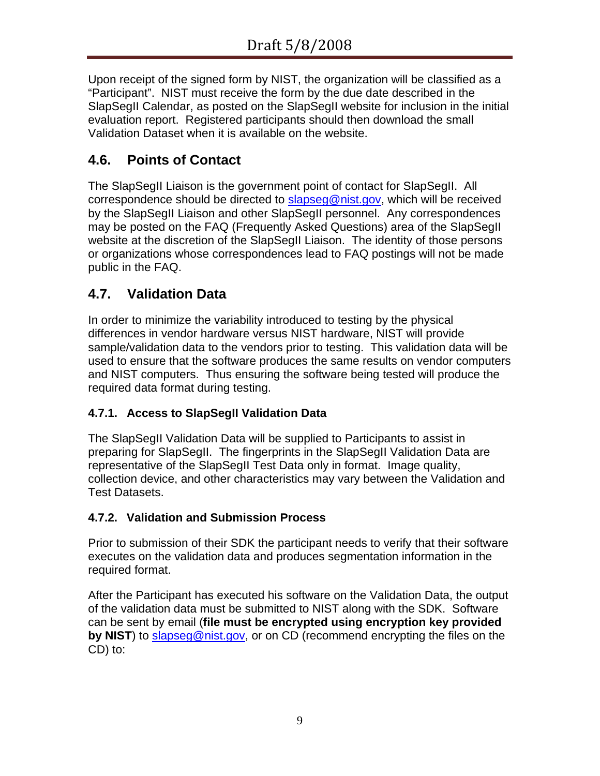Upon receipt of the signed form by NIST, the organization will be classified as a "Participant". NIST must receive the form by the due date described in the SlapSegII Calendar, as posted on the SlapSegII website for inclusion in the initial evaluation report. Registered participants should then download the small Validation Dataset when it is available on the website.

# **4.6. Points of Contact**

The SlapSegII Liaison is the government point of contact for SlapSegII. All correspondence should be directed to [slapseg@nist.gov](mailto:slapseg@nist.gov), which will be received by the SlapSegII Liaison and other SlapSegII personnel. Any correspondences may be posted on the FAQ (Frequently Asked Questions) area of the SlapSegII website at the discretion of the SlapSegII Liaison. The identity of those persons or organizations whose correspondences lead to FAQ postings will not be made public in the FAQ.

# **4.7. Validation Data**

In order to minimize the variability introduced to testing by the physical differences in vendor hardware versus NIST hardware, NIST will provide sample/validation data to the vendors prior to testing. This validation data will be used to ensure that the software produces the same results on vendor computers and NIST computers. Thus ensuring the software being tested will produce the required data format during testing.

### **4.7.1. Access to SlapSegII Validation Data**

The SlapSegII Validation Data will be supplied to Participants to assist in preparing for SlapSegII. The fingerprints in the SlapSegII Validation Data are representative of the SlapSegII Test Data only in format. Image quality, collection device, and other characteristics may vary between the Validation and Test Datasets.

### **4.7.2. Validation and Submission Process**

Prior to submission of their SDK the participant needs to verify that their software executes on the validation data and produces segmentation information in the required format.

After the Participant has executed his software on the Validation Data, the output of the validation data must be submitted to NIST along with the SDK. Software can be sent by email (**file must be encrypted using encryption key provided by NIST**) to [slapseg@nist.gov](mailto:slapseg@nist.gov), or on CD (recommend encrypting the files on the CD) to: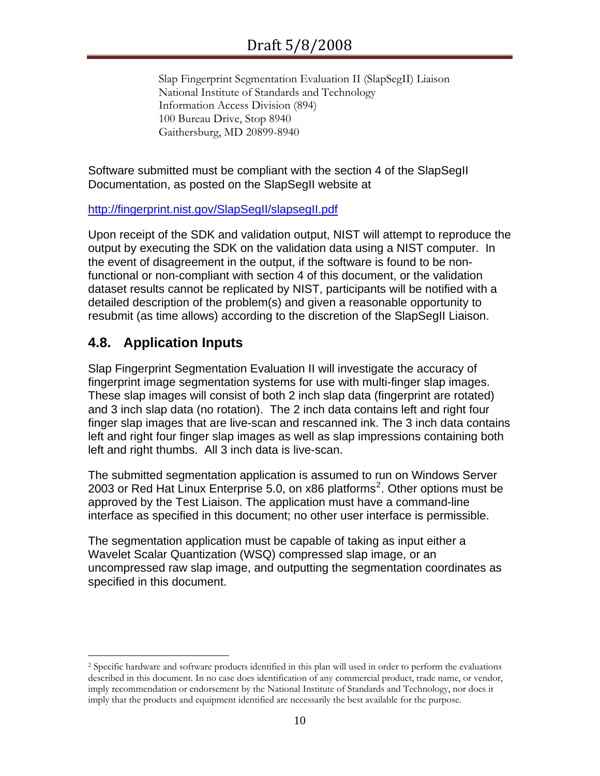Slap Fingerprint Segmentation Evaluation II (SlapSegII) Liaison National Institute of Standards and Technology Information Access Division (894) 100 Bureau Drive, Stop 8940 Gaithersburg, MD 20899-8940

Software submitted must be compliant with the section [4](#page-6-0) of the SlapSegII Documentation, as posted on the SlapSegII website at

#### <http://fingerprint.nist.gov/SlapSegII/slapsegII.pdf>

Upon receipt of the SDK and validation output, NIST will attempt to reproduce the output by executing the SDK on the validation data using a NIST computer. In the event of disagreement in the output, if the software is found to be nonfunctional or non-compliant with section [4](#page-6-0) of this document, or the validation dataset results cannot be replicated by NIST, participants will be notified with a detailed description of the problem(s) and given a reasonable opportunity to resubmit (as time allows) according to the discretion of the SlapSegII Liaison.

# **4.8. Application Inputs**

 $\overline{a}$ 

Slap Fingerprint Segmentation Evaluation II will investigate the accuracy of fingerprint image segmentation systems for use with multi-finger slap images. These slap images will consist of both 2 inch slap data (fingerprint are rotated) and 3 inch slap data (no rotation). The 2 inch data contains left and right four finger slap images that are live-scan and rescanned ink. The 3 inch data contains left and right four finger slap images as well as slap impressions containing both left and right thumbs. All 3 inch data is live-scan.

The submitted segmentation application is assumed to run on Windows Server [2](#page-9-0)003 or Red Hat Linux Enterprise 5.0, on x86 platforms<sup>2</sup>. Other options must be approved by the Test Liaison. The application must have a command-line interface as specified in this document; no other user interface is permissible.

The segmentation application must be capable of taking as input either a Wavelet Scalar Quantization (WSQ) compressed slap image, or an uncompressed raw slap image, and outputting the segmentation coordinates as specified in this document.

<span id="page-9-0"></span><sup>2</sup> Specific hardware and software products identified in this plan will used in order to perform the evaluations described in this document. In no case does identification of any commercial product, trade name, or vendor, imply recommendation or endorsement by the National Institute of Standards and Technology, nor does it imply that the products and equipment identified are necessarily the best available for the purpose.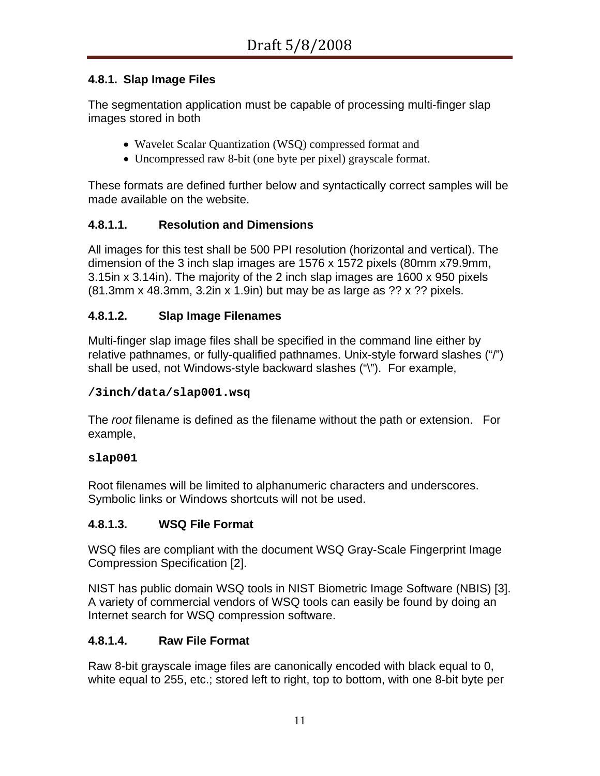### **4.8.1. Slap Image Files**

The segmentation application must be capable of processing multi-finger slap images stored in both

- Wavelet Scalar Quantization (WSQ) compressed format and
- Uncompressed raw 8-bit (one byte per pixel) grayscale format.

These formats are defined further below and syntactically correct samples will be made available on the website.

### **4.8.1.1. Resolution and Dimensions**

All images for this test shall be 500 PPI resolution (horizontal and vertical). The dimension of the 3 inch slap images are 1576 x 1572 pixels (80mm x79.9mm, 3.15in x 3.14in). The majority of the 2 inch slap images are 1600 x 950 pixels (81.3mm x 48.3mm, 3.2in x 1.9in) but may be as large as ?? x ?? pixels.

### **4.8.1.2. Slap Image Filenames**

Multi-finger slap image files shall be specified in the command line either by relative pathnames, or fully-qualified pathnames. Unix-style forward slashes ("/") shall be used, not Windows-style backward slashes ("\"). For example,

### **/3inch/data/slap001.wsq**

The *root* filename is defined as the filename without the path or extension. For example,

#### **slap001**

Root filenames will be limited to alphanumeric characters and underscores. Symbolic links or Windows shortcuts will not be used.

### **4.8.1.3. WSQ File Format**

WSQ files are compliant with the document WSQ Gray-Scale Fingerprint Image Compression Specification [[2](#page-22-2)].

NIST has public domain WSQ tools in NIST Biometric Image Software (NBIS) [\[3\]](#page-22-3). A variety of commercial vendors of WSQ tools can easily be found by doing an Internet search for WSQ compression software.

### **4.8.1.4. Raw File Format**

Raw 8-bit grayscale image files are canonically encoded with black equal to 0, white equal to 255, etc.; stored left to right, top to bottom, with one 8-bit byte per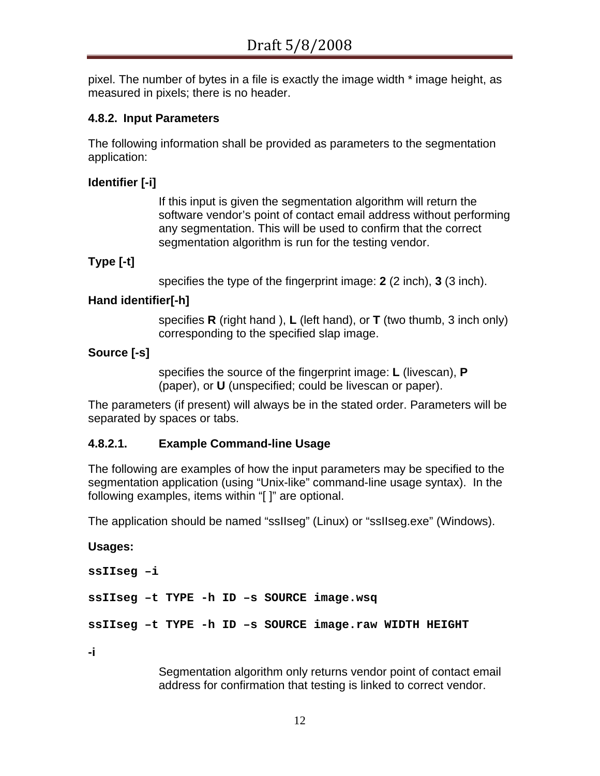pixel. The number of bytes in a file is exactly the image width \* image height, as measured in pixels; there is no header.

### **4.8.2. Input Parameters**

The following information shall be provided as parameters to the segmentation application:

### **Identifier [-i]**

If this input is given the segmentation algorithm will return the software vendor's point of contact email address without performing any segmentation. This will be used to confirm that the correct segmentation algorithm is run for the testing vendor.

#### **Type [-t]**

specifies the type of the fingerprint image: **2** (2 inch), **3** (3 inch).

#### **Hand identifier[-h]**

specifies **R** (right hand ), **L** (left hand), or **T** (two thumb, 3 inch only) corresponding to the specified slap image.

#### **Source [-s]**

specifies the source of the fingerprint image: **L** (livescan), **P** (paper), or **U** (unspecified; could be livescan or paper).

The parameters (if present) will always be in the stated order. Parameters will be separated by spaces or tabs.

#### **4.8.2.1. Example Command-line Usage**

The following are examples of how the input parameters may be specified to the segmentation application (using "Unix-like" command-line usage syntax). In the following examples, items within "[ ]" are optional.

The application should be named "ssIIseg" (Linux) or "ssIIseg.exe" (Windows).

# **Usages: ssIIseg –i ssIIseg –t TYPE -h ID –s SOURCE image.wsq ssIIseg –t TYPE -h ID –s SOURCE image.raw WIDTH HEIGHT**

**-i** 

Segmentation algorithm only returns vendor point of contact email address for confirmation that testing is linked to correct vendor.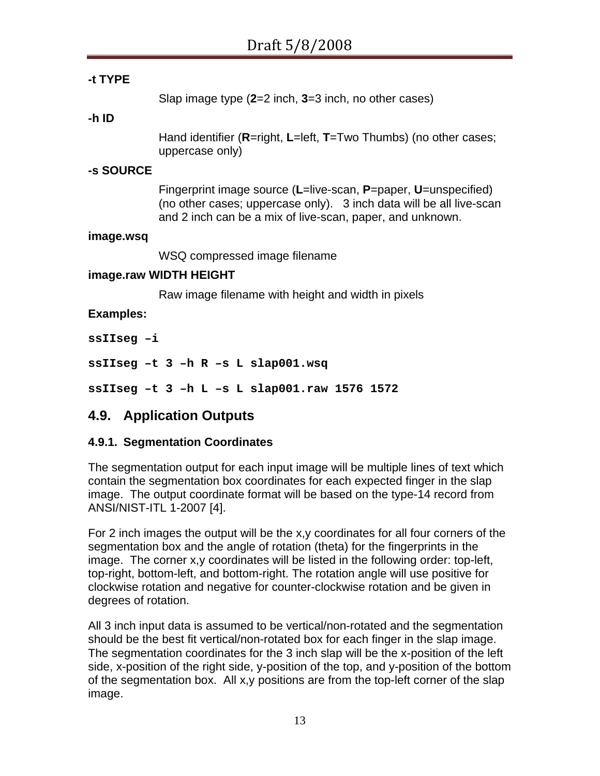### **-t TYPE**

Slap image type (**2**=2 inch, **3**=3 inch, no other cases)

#### **-h ID**

Hand identifier (**R**=right, **L**=left, **T**=Two Thumbs) (no other cases; uppercase only)

#### **-s SOURCE**

Fingerprint image source (**L**=live-scan, **P**=paper, **U**=unspecified) (no other cases; uppercase only). 3 inch data will be all live-scan and 2 inch can be a mix of live-scan, paper, and unknown.

#### **image.wsq**

WSQ compressed image filename

#### **image.raw WIDTH HEIGHT**

Raw image filename with height and width in pixels

#### **Examples:**

**ssIIseg –i** 

**ssIIseg –t 3 –h R –s L slap001.wsq** 

**ssIIseg –t 3 –h L –s L slap001.raw 1576 1572** 

### **4.9. Application Outputs**

### <span id="page-12-0"></span>**4.9.1. Segmentation Coordinates**

The segmentation output for each input image will be multiple lines of text which contain the segmentation box coordinates for each expected finger in the slap image. The output coordinate format will be based on the type-14 record from ANSI/NIST-ITL 1-2007 [\[4](#page-22-1)].

For 2 inch images the output will be the x,y coordinates for all four corners of the segmentation box and the angle of rotation (theta) for the fingerprints in the image. The corner x,y coordinates will be listed in the following order: top-left, top-right, bottom-left, and bottom-right. The rotation angle will use positive for clockwise rotation and negative for counter-clockwise rotation and be given in degrees of rotation.

All 3 inch input data is assumed to be vertical/non-rotated and the segmentation should be the best fit vertical/non-rotated box for each finger in the slap image. The segmentation coordinates for the 3 inch slap will be the x-position of the left side, x-position of the right side, y-position of the top, and y-position of the bottom of the segmentation box. All x,y positions are from the top-left corner of the slap image.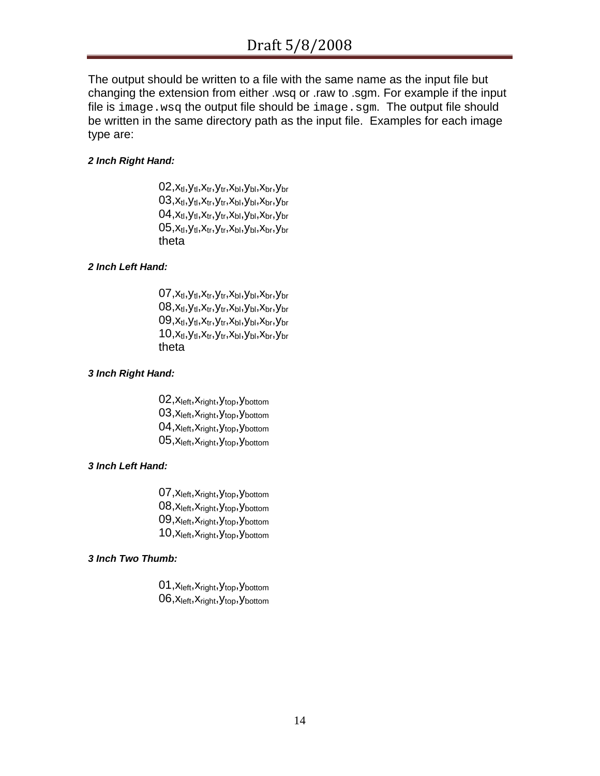The output should be written to a file with the same name as the input file but changing the extension from either .wsq or .raw to .sgm. For example if the input file is image.wsq the output file should be image.sgm. The output file should be written in the same directory path as the input file. Examples for each image type are:

#### *2 Inch Right Hand:*

 $02, x_{tl}, y_{tl}, x_{tr}, y_{tr}, x_{bl}, y_{bl}, x_{br}, y_{br}$  $03, x_{tl}, y_{tl}, x_{tr}, y_{tr}, x_{bl}, y_{bl}, x_{br}, y_{br}$  $04, x_{tl}, y_{tl}, x_{tr}, y_{tr}, x_{bl}, y_{bl}, x_{br}, y_{br}$  $05, x_{tl}, y_{tl}, x_{tr}, y_{tr}, x_{bl}, y_{bl}, x_{br}, y_{br}$ theta

#### *2 Inch Left Hand:*

 $07, x_{tl}, y_{tl}, x_{tr}, y_{tr}, x_{bl}, y_{bl}, x_{br}, y_{br}$  $08, x_{tl}, y_{tl}, x_{tr}, y_{tr}, x_{bl}, y_{bl}, x_{br}, y_{br}$  $09, x_{tl}, y_{tl}, x_{tr}, y_{tr}, x_{bl}, y_{bl}, x_{br}, y_{br}$  $10, x_{tl}, y_{tl}, x_{tr}, y_{tr}, x_{bl}, y_{bl}, x_{br}, y_{br}$ theta

#### *3 Inch Right Hand:*

02, X<sub>left</sub>, X<sub>right</sub>, Y<sub>top</sub>, Y<sub>bottom</sub> 03, X<sub>left</sub>, X<sub>right</sub>, Y<sub>top</sub>, Y<sub>bottom</sub> 04, X<sub>left</sub>, X<sub>right</sub>, Y<sub>top</sub>, Y<sub>bottom</sub> 05, X<sub>left</sub>, X<sub>right</sub>, Y<sub>top</sub>, Y<sub>bottom</sub>

#### *3 Inch Left Hand:*

07, X<sub>left</sub>, X<sub>right</sub>, Y<sub>top</sub>, Y<sub>bottom</sub> 08, X<sub>left</sub>, X<sub>right</sub>, Y<sub>top</sub>, Y<sub>bottom</sub> 09, X<sub>left</sub>, X<sub>right</sub>, Y<sub>top</sub>, Y<sub>bottom</sub> 10, X<sub>left</sub>, X<sub>right</sub>, Y<sub>top</sub>, Y<sub>bottom</sub>

#### *3 Inch Two Thumb:*

01, X<sub>left</sub>, X<sub>right</sub>, Y<sub>top</sub>, Y<sub>bottom</sub> 06, X<sub>left</sub>, X<sub>right</sub>, Y<sub>top</sub>, Y<sub>bottom</sub>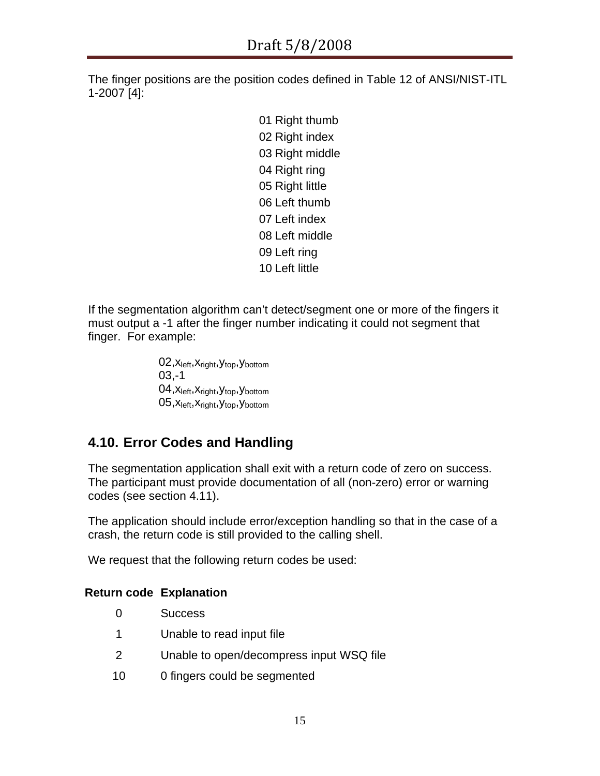The finger positions are the position codes defined in Table 12 of ANSI/NIST-ITL 1-2007 [\[4\]](#page-22-1):

> Right thumb Right index Right middle Right ring Right little Left thumb Left index Left middle Left ring Left little

If the segmentation algorithm can't detect/segment one or more of the fingers it must output a -1 after the finger number indicating it could not segment that finger. For example:

> 02, X<sub>left</sub>, X<sub>right</sub>, Y<sub>top</sub>, Y<sub>bottom</sub> 03,-1 04, X<sub>left</sub>, X<sub>right</sub>, Y<sub>top</sub>, Y<sub>bottom</sub> 05, X<sub>left</sub>, X<sub>right</sub>, Y<sub>top</sub>, Y<sub>bottom</sub>

# **4.10. Error Codes and Handling**

The segmentation application shall exit with a return code of zero on success. The participant must provide documentation of all (non-zero) error or warning codes (see section [4.11\)](#page-15-0).

The application should include error/exception handling so that in the case of a crash, the return code is still provided to the calling shell.

We request that the following return codes be used:

### **Return code Explanation**

- 0 Success
- 1 Unable to read input file
- 2 Unable to open/decompress input WSQ file
- 10 0 fingers could be segmented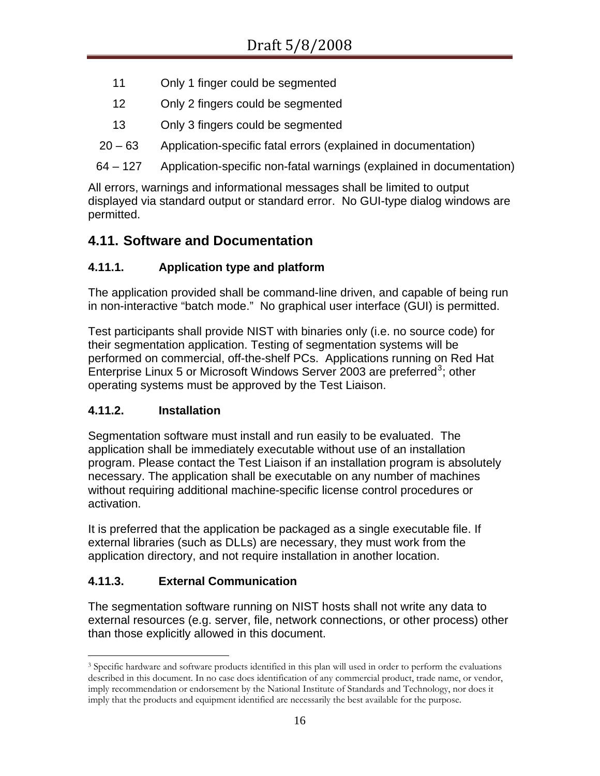- 11 Only 1 finger could be segmented
- 12 Only 2 fingers could be segmented
- 13 Only 3 fingers could be segmented
- 20 63 Application-specific fatal errors (explained in documentation)

64 – 127 Application-specific non-fatal warnings (explained in documentation)

All errors, warnings and informational messages shall be limited to output displayed via standard output or standard error. No GUI-type dialog windows are permitted.

# <span id="page-15-0"></span>**4.11. Software and Documentation**

### **4.11.1. Application type and platform**

The application provided shall be command-line driven, and capable of being run in non-interactive "batch mode." No graphical user interface (GUI) is permitted.

Test participants shall provide NIST with binaries only (i.e. no source code) for their segmentation application. Testing of segmentation systems will be performed on commercial, off-the-shelf PCs. Applications running on Red Hat Enterprise Linux 5 or Microsoft Windows Server 200[3](#page-15-1) are preferred<sup>3</sup>; other operating systems must be approved by the Test Liaison.

### **4.11.2. Installation**

Segmentation software must install and run easily to be evaluated. The application shall be immediately executable without use of an installation program. Please contact the Test Liaison if an installation program is absolutely necessary. The application shall be executable on any number of machines without requiring additional machine-specific license control procedures or activation.

It is preferred that the application be packaged as a single executable file. If external libraries (such as DLLs) are necessary, they must work from the application directory, and not require installation in another location.

### **4.11.3. External Communication**

The segmentation software running on NIST hosts shall not write any data to external resources (e.g. server, file, network connections, or other process) other than those explicitly allowed in this document.

<span id="page-15-1"></span> $\overline{a}$ <sup>3</sup> Specific hardware and software products identified in this plan will used in order to perform the evaluations described in this document. In no case does identification of any commercial product, trade name, or vendor, imply recommendation or endorsement by the National Institute of Standards and Technology, nor does it imply that the products and equipment identified are necessarily the best available for the purpose.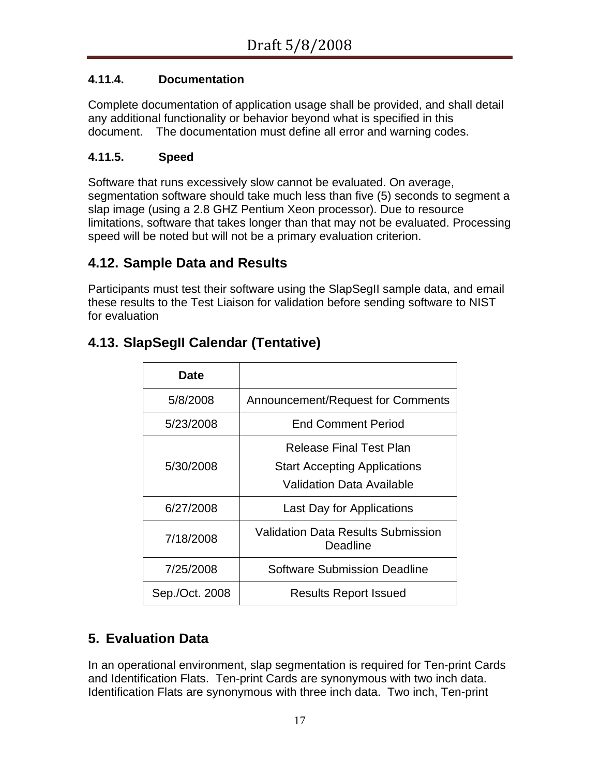### **4.11.4. Documentation**

Complete documentation of application usage shall be provided, and shall detail any additional functionality or behavior beyond what is specified in this document. The documentation must define all error and warning codes.

### **4.11.5. Speed**

Software that runs excessively slow cannot be evaluated. On average, segmentation software should take much less than five (5) seconds to segment a slap image (using a 2.8 GHZ Pentium Xeon processor). Due to resource limitations, software that takes longer than that may not be evaluated. Processing speed will be noted but will not be a primary evaluation criterion.

# **4.12. Sample Data and Results**

Participants must test their software using the SlapSegII sample data, and email these results to the Test Liaison for validation before sending software to NIST for evaluation

|  |  |  | 4.13. SlapSegII Calendar (Tentative) |
|--|--|--|--------------------------------------|
|--|--|--|--------------------------------------|

| Date           |                                                       |
|----------------|-------------------------------------------------------|
| 5/8/2008       | Announcement/Request for Comments                     |
| 5/23/2008      | <b>End Comment Period</b>                             |
|                | <b>Release Final Test Plan</b>                        |
| 5/30/2008      | <b>Start Accepting Applications</b>                   |
|                | Validation Data Available                             |
| 6/27/2008      | <b>Last Day for Applications</b>                      |
| 7/18/2008      | <b>Validation Data Results Submission</b><br>Deadline |
| 7/25/2008      | Software Submission Deadline                          |
| Sep./Oct. 2008 | <b>Results Report Issued</b>                          |

# **5. Evaluation Data**

In an operational environment, slap segmentation is required for Ten-print Cards and Identification Flats. Ten-print Cards are synonymous with two inch data. Identification Flats are synonymous with three inch data. Two inch, Ten-print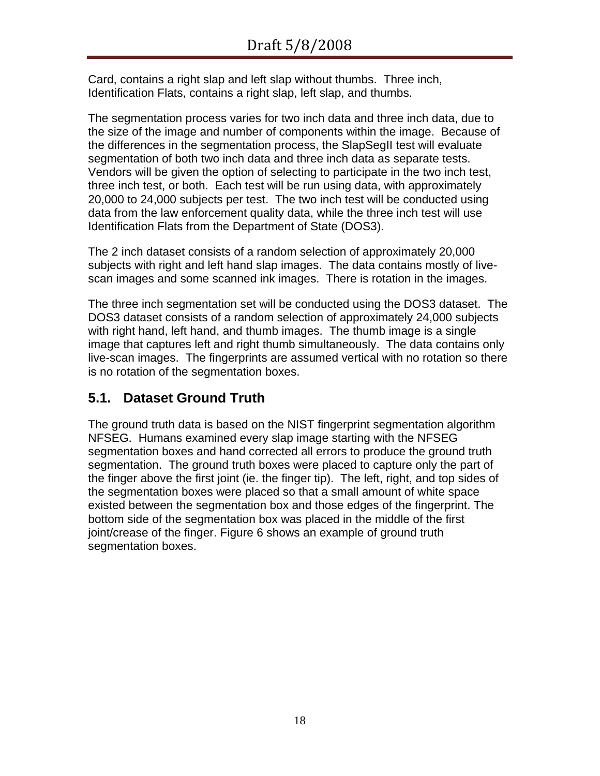Card, contains a right slap and left slap without thumbs. Three inch, Identification Flats, contains a right slap, left slap, and thumbs.

The segmentation process varies for two inch data and three inch data, due to the size of the image and number of components within the image. Because of the differences in the segmentation process, the SlapSegII test will evaluate segmentation of both two inch data and three inch data as separate tests. Vendors will be given the option of selecting to participate in the two inch test, three inch test, or both. Each test will be run using data, with approximately 20,000 to 24,000 subjects per test. The two inch test will be conducted using data from the law enforcement quality data, while the three inch test will use Identification Flats from the Department of State (DOS3).

The 2 inch dataset consists of a random selection of approximately 20,000 subjects with right and left hand slap images. The data contains mostly of livescan images and some scanned ink images. There is rotation in the images.

The three inch segmentation set will be conducted using the DOS3 dataset. The DOS3 dataset consists of a random selection of approximately 24,000 subjects with right hand, left hand, and thumb images. The thumb image is a single image that captures left and right thumb simultaneously. The data contains only live-scan images. The fingerprints are assumed vertical with no rotation so there is no rotation of the segmentation boxes.

# **5.1. Dataset Ground Truth**

The ground truth data is based on the NIST fingerprint segmentation algorithm NFSEG. Humans examined every slap image starting with the NFSEG segmentation boxes and hand corrected all errors to produce the ground truth segmentation. The ground truth boxes were placed to capture only the part of the finger above the first joint (ie. the finger tip). The left, right, and top sides of the segmentation boxes were placed so that a small amount of white space existed between the segmentation box and those edges of the fingerprint. The bottom side of the segmentation box was placed in the middle of the first joint/crease of the finger. [Figure 6](#page-18-0) shows an example of ground truth segmentation boxes.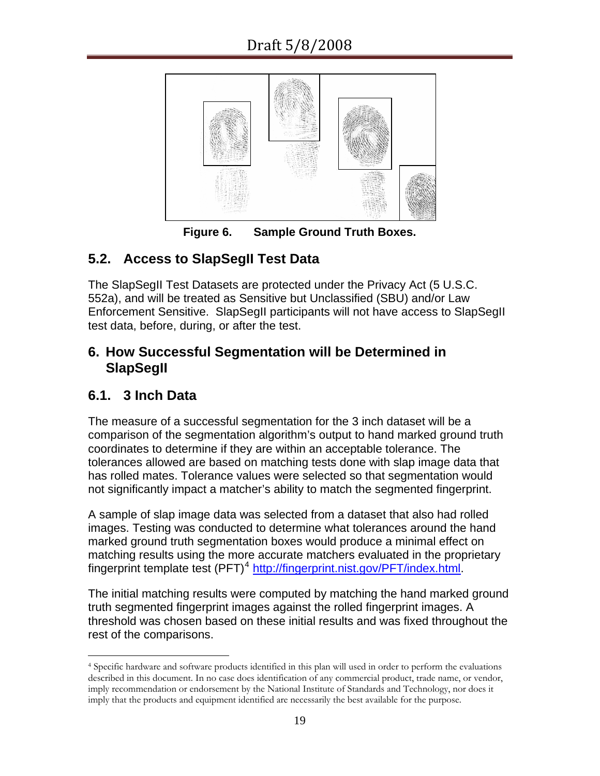

**Figure 6. Sample Ground Truth Boxes.** 

# <span id="page-18-0"></span>**5.2. Access to SlapSegII Test Data**

The SlapSegII Test Datasets are protected under the Privacy Act (5 U.S.C. 552a), and will be treated as Sensitive but Unclassified (SBU) and/or Law Enforcement Sensitive. SlapSegII participants will not have access to SlapSegII test data, before, during, or after the test.

# **6. How Successful Segmentation will be Determined in SlapSegII**

# **6.1. 3 Inch Data**

The measure of a successful segmentation for the 3 inch dataset will be a comparison of the segmentation algorithm's output to hand marked ground truth coordinates to determine if they are within an acceptable tolerance. The tolerances allowed are based on matching tests done with slap image data that has rolled mates. Tolerance values were selected so that segmentation would not significantly impact a matcher's ability to match the segmented fingerprint.

A sample of slap image data was selected from a dataset that also had rolled images. Testing was conducted to determine what tolerances around the hand marked ground truth segmentation boxes would produce a minimal effect on matching results using the more accurate matchers evaluated in the proprietary fingerprint template test  $(PFT)^4$  $(PFT)^4$  <http://fingerprint.nist.gov/PFT/index.html>.

The initial matching results were computed by matching the hand marked ground truth segmented fingerprint images against the rolled fingerprint images. A threshold was chosen based on these initial results and was fixed throughout the rest of the comparisons.

<span id="page-18-1"></span> $\overline{a}$ 4 Specific hardware and software products identified in this plan will used in order to perform the evaluations described in this document. In no case does identification of any commercial product, trade name, or vendor, imply recommendation or endorsement by the National Institute of Standards and Technology, nor does it imply that the products and equipment identified are necessarily the best available for the purpose.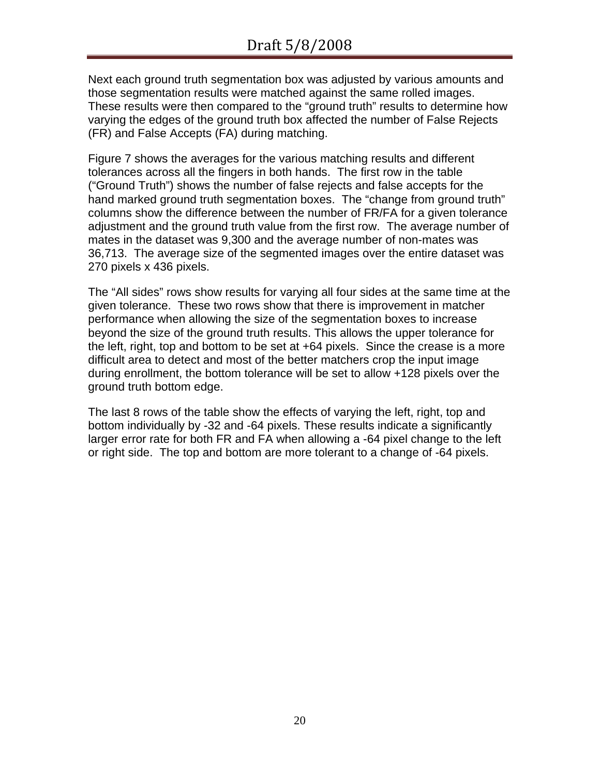Next each ground truth segmentation box was adjusted by various amounts and those segmentation results were matched against the same rolled images. These results were then compared to the "ground truth" results to determine how varying the edges of the ground truth box affected the number of False Rejects (FR) and False Accepts (FA) during matching.

[Figure 7](#page-20-0) shows the averages for the various matching results and different tolerances across all the fingers in both hands. The first row in the table ("Ground Truth") shows the number of false rejects and false accepts for the hand marked ground truth segmentation boxes. The "change from ground truth" columns show the difference between the number of FR/FA for a given tolerance adjustment and the ground truth value from the first row. The average number of mates in the dataset was 9,300 and the average number of non-mates was 36,713. The average size of the segmented images over the entire dataset was 270 pixels x 436 pixels.

The "All sides" rows show results for varying all four sides at the same time at the given tolerance. These two rows show that there is improvement in matcher performance when allowing the size of the segmentation boxes to increase beyond the size of the ground truth results. This allows the upper tolerance for the left, right, top and bottom to be set at +64 pixels. Since the crease is a more difficult area to detect and most of the better matchers crop the input image during enrollment, the bottom tolerance will be set to allow +128 pixels over the ground truth bottom edge.

The last 8 rows of the table show the effects of varying the left, right, top and bottom individually by -32 and -64 pixels. These results indicate a significantly larger error rate for both FR and FA when allowing a -64 pixel change to the left or right side. The top and bottom are more tolerant to a change of -64 pixels.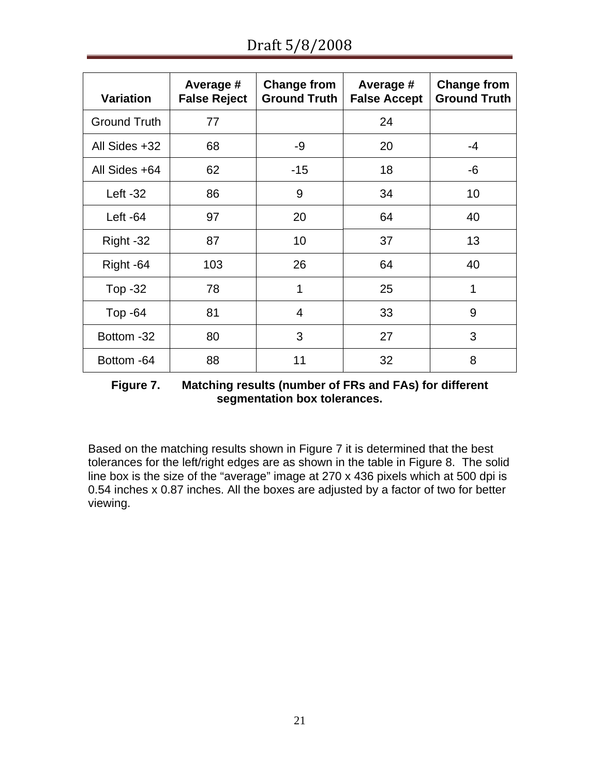| <b>Variation</b>    | Average #<br><b>False Reject</b> | <b>Change from</b><br><b>Ground Truth</b> | Average #<br><b>False Accept</b> | <b>Change from</b><br><b>Ground Truth</b> |
|---------------------|----------------------------------|-------------------------------------------|----------------------------------|-------------------------------------------|
| <b>Ground Truth</b> | 77                               |                                           | 24                               |                                           |
| All Sides +32       | 68                               | -9                                        | 20                               | $-4$                                      |
| All Sides +64       | 62                               | $-15$                                     | 18                               | -6                                        |
| Left $-32$          | 86                               | 9                                         | 34                               | 10                                        |
| Left $-64$          | 97                               | 20                                        | 64                               | 40                                        |
| Right -32           | 87                               | 10                                        | 37                               | 13                                        |
| Right -64           | 103                              | 26                                        | 64                               | 40                                        |
| Top -32             | 78                               | 1                                         | 25                               | 1                                         |
| Top $-64$           | 81                               | 4                                         | 33                               | 9                                         |
| Bottom -32          | 80                               | 3                                         | 27                               | 3                                         |
| Bottom -64          | 88                               | 11                                        | 32                               | 8                                         |

**Figure 7. Matching results (number of FRs and FAs) for different segmentation box tolerances.** 

<span id="page-20-0"></span>Based on the matching results shown in [Figure 7](#page-20-0) it is determined that the best tolerances for the left/right edges are as shown in the table in [Figure 8](#page-21-0). The solid line box is the size of the "average" image at 270 x 436 pixels which at 500 dpi is 0.54 inches x 0.87 inches. All the boxes are adjusted by a factor of two for better viewing.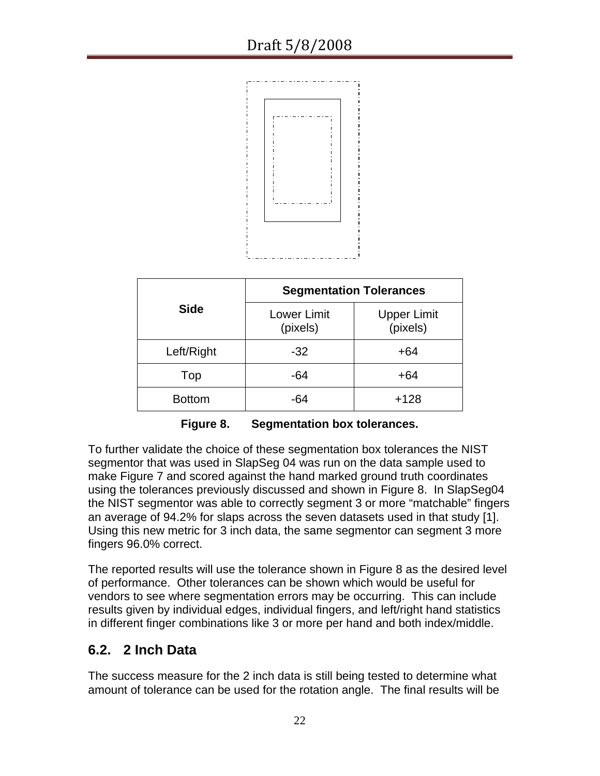

|               | <b>Segmentation Tolerances</b> |                                |  |
|---------------|--------------------------------|--------------------------------|--|
| <b>Side</b>   | <b>Lower Limit</b><br>(pixels) | <b>Upper Limit</b><br>(pixels) |  |
| Left/Right    | $-32$                          | $+64$                          |  |
| Top           | -64                            | $+64$                          |  |
| <b>Bottom</b> | -64                            | $+128$                         |  |

**Figure 8. Segmentation box tolerances.** 

<span id="page-21-0"></span>To further validate the choice of these segmentation box tolerances the NIST segmentor that was used in SlapSeg 04 was run on the data sample used to make [Figure 7](#page-20-0) and scored against the hand marked ground truth coordinates using the tolerances previously discussed and shown in [Figure 8.](#page-21-0) In SlapSeg04 the NIST segmentor was able to correctly segment 3 or more "matchable" fingers an average of 94.2% for slaps across the seven datasets used in that study [\[1\]](#page-22-0). Using this new metric for 3 inch data, the same segmentor can segment 3 more fingers 96.0% correct.

The reported results will use the tolerance shown in [Figure 8](#page-21-0) as the desired level of performance. Other tolerances can be shown which would be useful for vendors to see where segmentation errors may be occurring. This can include results given by individual edges, individual fingers, and left/right hand statistics in different finger combinations like 3 or more per hand and both index/middle.

### **6.2. 2 Inch Data**

The success measure for the 2 inch data is still being tested to determine what amount of tolerance can be used for the rotation angle. The final results will be